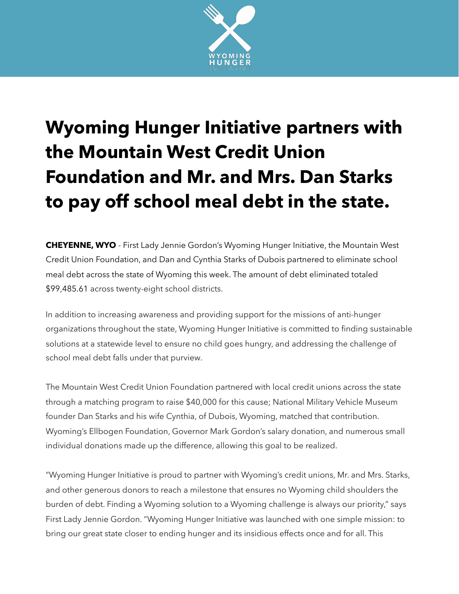

## **Wyoming Hunger Initiative partners with the Mountain West Credit Union Foundation and Mr. and Mrs. Dan Starks to pay off school meal debt in the state.**

**CHEYENNE, WYO** - First Lady Jennie Gordon's Wyoming Hunger Initiative, the Mountain West Credit Union Foundation, and Dan and Cynthia Starks of Dubois partnered to eliminate school meal debt across the state of Wyoming this week. The amount of debt eliminated totaled \$99,485.61 across twenty-eight school districts.

In addition to increasing awareness and providing support for the missions of anti-hunger organizations throughout the state, Wyoming Hunger Initiative is committed to finding sustainable solutions at a statewide level to ensure no child goes hungry, and addressing the challenge of school meal debt falls under that purview.

The Mountain West Credit Union Foundation partnered with local credit unions across the state through a matching program to raise \$40,000 for this cause; National Military Vehicle Museum founder Dan Starks and his wife Cynthia, of Dubois, Wyoming, matched that contribution. Wyoming's Ellbogen Foundation, Governor Mark Gordon's salary donation, and numerous small individual donations made up the difference, allowing this goal to be realized.

"Wyoming Hunger Initiative is proud to partner with Wyoming's credit unions, Mr. and Mrs. Starks, and other generous donors to reach a milestone that ensures no Wyoming child shoulders the burden of debt. Finding a Wyoming solution to a Wyoming challenge is always our priority," says First Lady Jennie Gordon. "Wyoming Hunger Initiative was launched with one simple mission: to bring our great state closer to ending hunger and its insidious effects once and for all. This